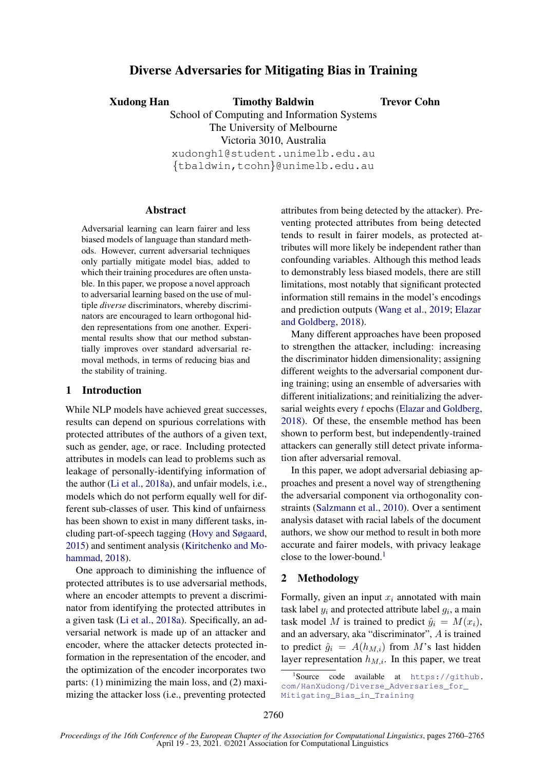# Diverse Adversaries for Mitigating Bias in Training

Xudong Han Timothy Baldwin

Trevor Cohn

School of Computing and Information Systems The University of Melbourne Victoria 3010, Australia xudongh1@student.unimelb.edu.au {tbaldwin,tcohn}@unimelb.edu.au

# Abstract

Adversarial learning can learn fairer and less biased models of language than standard methods. However, current adversarial techniques only partially mitigate model bias, added to which their training procedures are often unstable. In this paper, we propose a novel approach to adversarial learning based on the use of multiple *diverse* discriminators, whereby discriminators are encouraged to learn orthogonal hidden representations from one another. Experimental results show that our method substantially improves over standard adversarial removal methods, in terms of reducing bias and the stability of training.

#### 1 Introduction

While NLP models have achieved great successes, results can depend on spurious correlations with protected attributes of the authors of a given text, such as gender, age, or race. Including protected attributes in models can lead to problems such as leakage of personally-identifying information of the author [\(Li et al.,](#page-5-0) [2018a\)](#page-5-0), and unfair models, i.e., models which do not perform equally well for different sub-classes of user. This kind of unfairness has been shown to exist in many different tasks, including part-of-speech tagging [\(Hovy and Søgaard,](#page-5-1) [2015\)](#page-5-1) and sentiment analysis [\(Kiritchenko and Mo](#page-5-2)[hammad,](#page-5-2) [2018\)](#page-5-2).

One approach to diminishing the influence of protected attributes is to use adversarial methods, where an encoder attempts to prevent a discriminator from identifying the protected attributes in a given task [\(Li et al.,](#page-5-0) [2018a\)](#page-5-0). Specifically, an adversarial network is made up of an attacker and encoder, where the attacker detects protected information in the representation of the encoder, and the optimization of the encoder incorporates two parts: (1) minimizing the main loss, and (2) maximizing the attacker loss (i.e., preventing protected

attributes from being detected by the attacker). Preventing protected attributes from being detected tends to result in fairer models, as protected attributes will more likely be independent rather than confounding variables. Although this method leads to demonstrably less biased models, there are still limitations, most notably that significant protected information still remains in the model's encodings and prediction outputs [\(Wang et al.,](#page-5-3) [2019;](#page-5-3) [Elazar](#page-5-4) [and Goldberg,](#page-5-4) [2018\)](#page-5-4).

Many different approaches have been proposed to strengthen the attacker, including: increasing the discriminator hidden dimensionality; assigning different weights to the adversarial component during training; using an ensemble of adversaries with different initializations; and reinitializing the adversarial weights every  $t$  epochs [\(Elazar and Goldberg,](#page-5-4) [2018\)](#page-5-4). Of these, the ensemble method has been shown to perform best, but independently-trained attackers can generally still detect private information after adversarial removal.

In this paper, we adopt adversarial debiasing approaches and present a novel way of strengthening the adversarial component via orthogonality constraints [\(Salzmann et al.,](#page-5-5) [2010\)](#page-5-5). Over a sentiment analysis dataset with racial labels of the document authors, we show our method to result in both more accurate and fairer models, with privacy leakage close to the lower-bound.<sup>[1](#page-0-0)</sup>

# 2 Methodology

Formally, given an input  $x_i$  annotated with main task label  $y_i$  and protected attribute label  $g_i$ , a main task model M is trained to predict  $\hat{y}_i = M(x_i)$ , and an adversary, aka "discriminator", A is trained to predict  $\hat{g}_i = A(h_{M,i})$  from M's last hidden layer representation  $h_{M,i}$ . In this paper, we treat

<span id="page-0-0"></span><sup>1</sup> Source code available at [https://github.](https://github.com/HanXudong/Diverse_Adversaries_for_Mitigating_Bias_in_Training) [com/HanXudong/Diverse\\_Adversaries\\_for\\_](https://github.com/HanXudong/Diverse_Adversaries_for_Mitigating_Bias_in_Training) [Mitigating\\_Bias\\_in\\_Training](https://github.com/HanXudong/Diverse_Adversaries_for_Mitigating_Bias_in_Training)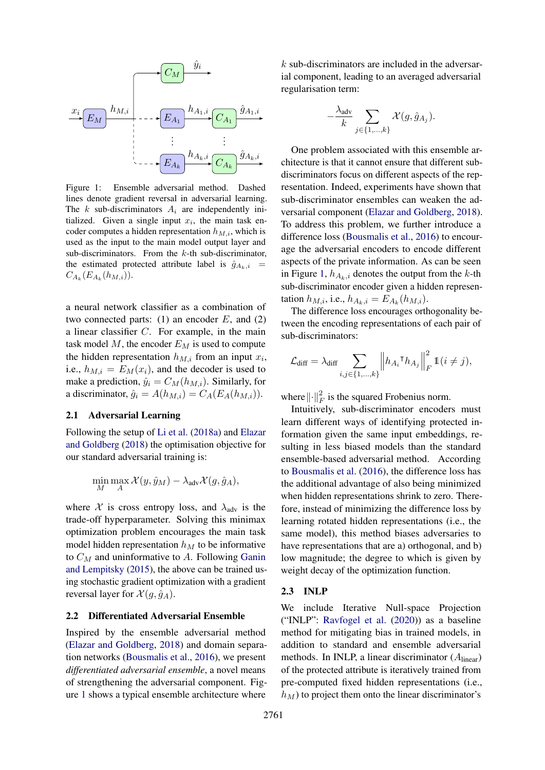<span id="page-1-0"></span>

Figure 1: Ensemble adversarial method. Dashed lines denote gradient reversal in adversarial learning. The k sub-discriminators  $A_i$  are independently initialized. Given a single input  $x_i$ , the main task encoder computes a hidden representation  $h_{M,i}$ , which is used as the input to the main model output layer and sub-discriminators. From the  $k$ -th sub-discriminator, the estimated protected attribute label is  $\hat{g}_{A_k,i}$  =  $C_{A_k}(E_{A_k}(h_{M,i}))$ .

a neural network classifier as a combination of two connected parts: (1) an encoder  $E$ , and (2) a linear classifier C. For example, in the main task model  $M$ , the encoder  $E_M$  is used to compute the hidden representation  $h_{M,i}$  from an input  $x_i$ , i.e.,  $h_{M,i} = E_M(x_i)$ , and the decoder is used to make a prediction,  $\hat{y}_i = C_M(h_{M,i})$ . Similarly, for a discriminator,  $\hat{g}_i = A(h_{M,i}) = C_A(E_A(h_{M,i})).$ 

#### 2.1 Adversarial Learning

Following the setup of [Li et al.](#page-5-0) [\(2018a\)](#page-5-0) and [Elazar](#page-5-4) [and Goldberg](#page-5-4) [\(2018\)](#page-5-4) the optimisation objective for our standard adversarial training is:

$$
\min_{M} \max_{A} \mathcal{X}(y, \hat{y}_M) - \lambda_{\text{adv}} \mathcal{X}(g, \hat{g}_A),
$$

where X is cross entropy loss, and  $\lambda_{\text{adv}}$  is the trade-off hyperparameter. Solving this minimax optimization problem encourages the main task model hidden representation  $h_M$  to be informative to  $C_M$  and uninformative to A. Following [Ganin](#page-5-6) [and Lempitsky](#page-5-6) [\(2015\)](#page-5-6), the above can be trained using stochastic gradient optimization with a gradient reversal layer for  $\mathcal{X}(g, \hat{g}_A)$ .

## 2.2 Differentiated Adversarial Ensemble

Inspired by the ensemble adversarial method [\(Elazar and Goldberg,](#page-5-4) [2018\)](#page-5-4) and domain separation networks [\(Bousmalis et al.,](#page-5-7) [2016\)](#page-5-7), we present *differentiated adversarial ensemble*, a novel means of strengthening the adversarial component. Figure [1](#page-1-0) shows a typical ensemble architecture where

 $k$  sub-discriminators are included in the adversarial component, leading to an averaged adversarial regularisation term:

$$
-\frac{\lambda_{\text{adv}}}{k}\sum_{j\in\{1,\dots,k\}}\mathcal{X}(g,\hat{g}_{A_j}).
$$

One problem associated with this ensemble architecture is that it cannot ensure that different subdiscriminators focus on different aspects of the representation. Indeed, experiments have shown that sub-discriminator ensembles can weaken the adversarial component [\(Elazar and Goldberg,](#page-5-4) [2018\)](#page-5-4). To address this problem, we further introduce a difference loss [\(Bousmalis et al.,](#page-5-7) [2016\)](#page-5-7) to encourage the adversarial encoders to encode different aspects of the private information. As can be seen in Figure [1,](#page-1-0)  $h_{A_k,i}$  denotes the output from the k-th sub-discriminator encoder given a hidden representation  $h_{M,i}$ , i.e.,  $h_{A_k,i} = E_{A_k}(h_{M,i})$ .

The difference loss encourages orthogonality between the encoding representations of each pair of sub-discriminators:

$$
\mathcal{L}_{\text{diff}} = \lambda_{\text{diff}} \sum_{i,j \in \{1,\dots,k\}} \left\| h_{A_i}{}^{\mathsf{T}} h_{A_j} \right\|_F^2 \mathbb{1}(i \neq j),
$$

where  $\lVert \cdot \rVert_F^2$  is the squared Frobenius norm.

Intuitively, sub-discriminator encoders must learn different ways of identifying protected information given the same input embeddings, resulting in less biased models than the standard ensemble-based adversarial method. According to [Bousmalis et al.](#page-5-7) [\(2016\)](#page-5-7), the difference loss has the additional advantage of also being minimized when hidden representations shrink to zero. Therefore, instead of minimizing the difference loss by learning rotated hidden representations (i.e., the same model), this method biases adversaries to have representations that are a) orthogonal, and b) low magnitude; the degree to which is given by weight decay of the optimization function.

#### 2.3 INLP

We include Iterative Null-space Projection ("INLP": [Ravfogel et al.](#page-5-8) [\(2020\)](#page-5-8)) as a baseline method for mitigating bias in trained models, in addition to standard and ensemble adversarial methods. In INLP, a linear discriminator  $(A<sub>linear</sub>)$ of the protected attribute is iteratively trained from pre-computed fixed hidden representations (i.e.,  $h_M$ ) to project them onto the linear discriminator's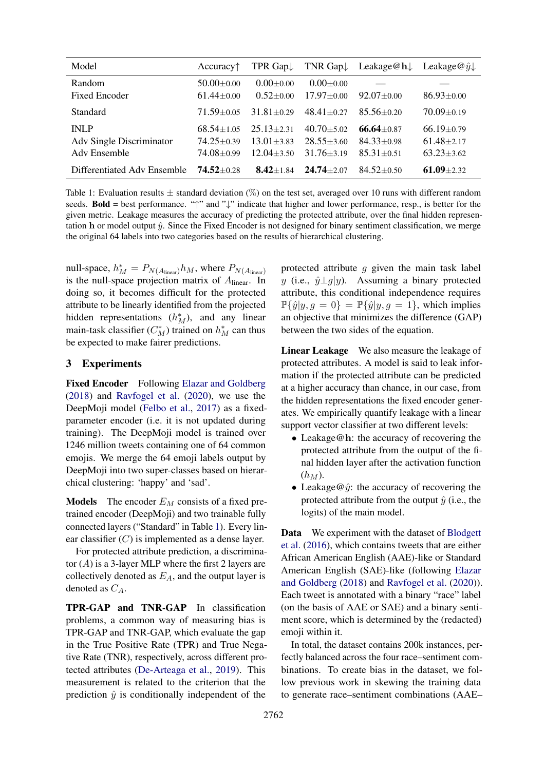<span id="page-2-0"></span>

| Model                                                   | Accuracy <sup>†</sup>                              | TPR Gap $\downarrow$                               |                                                    | TNR Gap Leakage $@h$ Leakage $@j$                  |                                                    |
|---------------------------------------------------------|----------------------------------------------------|----------------------------------------------------|----------------------------------------------------|----------------------------------------------------|----------------------------------------------------|
| Random<br>Fixed Encoder                                 | $50.00 + 0.00$<br>$61.44 + 0.00$                   | $0.00 + 0.00$<br>$0.52+0.00$                       | $0.00 + 0.00$<br>$17.97 + 0.00$                    | $92.07 \pm 0.00$                                   | $86.93 \pm 0.00$                                   |
| Standard                                                | $71.59 + 0.05$                                     | $31.81 + 0.29$                                     | $48.41 + 0.27$                                     | $85.56 + 0.20$                                     | $70.09 + 0.19$                                     |
| <b>INLP</b><br>Adv Single Discriminator<br>Adv Ensemble | $68.54 + 1.05$<br>$74.25 + 0.39$<br>$74.08 + 0.99$ | $25.13 + 2.31$<br>$13.01 + 3.83$<br>$12.04 + 3.50$ | $40.70 + 5.02$<br>$28.55 + 3.60$<br>$31.76 + 3.19$ | $66.64 + 0.87$<br>$84.33 + 0.98$<br>$85.31 + 0.51$ | $66.19 + 0.79$<br>$61.48 + 2.17$<br>$63.23 + 3.62$ |
| Differentiated Adv Ensemble                             | $74.52 + 0.28$                                     | $8.42 + 1.84$                                      | $24.74 + 2.07$                                     | $84.52 + 0.50$                                     | $61.09 + 2.32$                                     |

Table 1: Evaluation results  $\pm$  standard deviation (%) on the test set, averaged over 10 runs with different random seeds. **Bold** = best performance. " $\uparrow$ " and " $\downarrow$ " indicate that higher and lower performance, resp., is better for the given metric. Leakage measures the accuracy of predicting the protected attribute, over the final hidden representation h or model output  $\hat{y}$ . Since the Fixed Encoder is not designed for binary sentiment classification, we merge the original 64 labels into two categories based on the results of hierarchical clustering.

null-space,  $h_M^* = P_{N(A_{linear})}h_M$ , where  $P_{N(A_{linear})}$ is the null-space projection matrix of  $A_{linear}$ . In doing so, it becomes difficult for the protected attribute to be linearly identified from the projected hidden representations  $(h_M^*)$ , and any linear main-task classifier  $(C_M^*)$  trained on  $h_M^*$  can thus be expected to make fairer predictions.

# 3 Experiments

Fixed Encoder Following [Elazar and Goldberg](#page-5-4) [\(2018\)](#page-5-4) and [Ravfogel et al.](#page-5-8) [\(2020\)](#page-5-8), we use the DeepMoji model [\(Felbo et al.,](#page-5-9) [2017\)](#page-5-9) as a fixedparameter encoder (i.e. it is not updated during training). The DeepMoji model is trained over 1246 million tweets containing one of 64 common emojis. We merge the 64 emoji labels output by DeepMoji into two super-classes based on hierarchical clustering: 'happy' and 'sad'.

**Models** The encoder  $E_M$  consists of a fixed pretrained encoder (DeepMoji) and two trainable fully connected layers ("Standard" in Table [1\)](#page-2-0). Every linear classifier  $(C)$  is implemented as a dense layer.

For protected attribute prediction, a discriminator  $(A)$  is a 3-layer MLP where the first 2 layers are collectively denoted as  $E_A$ , and the output layer is denoted as  $C_A$ .

TPR-GAP and TNR-GAP In classification problems, a common way of measuring bias is TPR-GAP and TNR-GAP, which evaluate the gap in the True Positive Rate (TPR) and True Negative Rate (TNR), respectively, across different protected attributes [\(De-Arteaga et al.,](#page-5-10) [2019\)](#page-5-10). This measurement is related to the criterion that the prediction  $\hat{y}$  is conditionally independent of the

protected attribute  $g$  given the main task label y (i.e.,  $\hat{y} \perp g|y$ ). Assuming a binary protected attribute, this conditional independence requires  $\mathbb{P}\{\hat{y}|y, g = 0\} = \mathbb{P}\{\hat{y}|y, g = 1\}$ , which implies an objective that minimizes the difference (GAP) between the two sides of the equation.

Linear Leakage We also measure the leakage of protected attributes. A model is said to leak information if the protected attribute can be predicted at a higher accuracy than chance, in our case, from the hidden representations the fixed encoder generates. We empirically quantify leakage with a linear support vector classifier at two different levels:

- Leakage@h: the accuracy of recovering the protected attribute from the output of the final hidden layer after the activation function  $(h_M)$ .
- Leakage  $\hat{\varphi}$ : the accuracy of recovering the protected attribute from the output  $\hat{y}$  (i.e., the logits) of the main model.

Data We experiment with the dataset of [Blodgett](#page-5-11) [et al.](#page-5-11) [\(2016\)](#page-5-11), which contains tweets that are either African American English (AAE)-like or Standard American English (SAE)-like (following [Elazar](#page-5-4) [and Goldberg](#page-5-4) [\(2018\)](#page-5-4) and [Ravfogel et al.](#page-5-8) [\(2020\)](#page-5-8)). Each tweet is annotated with a binary "race" label (on the basis of AAE or SAE) and a binary sentiment score, which is determined by the (redacted) emoji within it.

In total, the dataset contains 200k instances, perfectly balanced across the four race–sentiment combinations. To create bias in the dataset, we follow previous work in skewing the training data to generate race–sentiment combinations (AAE–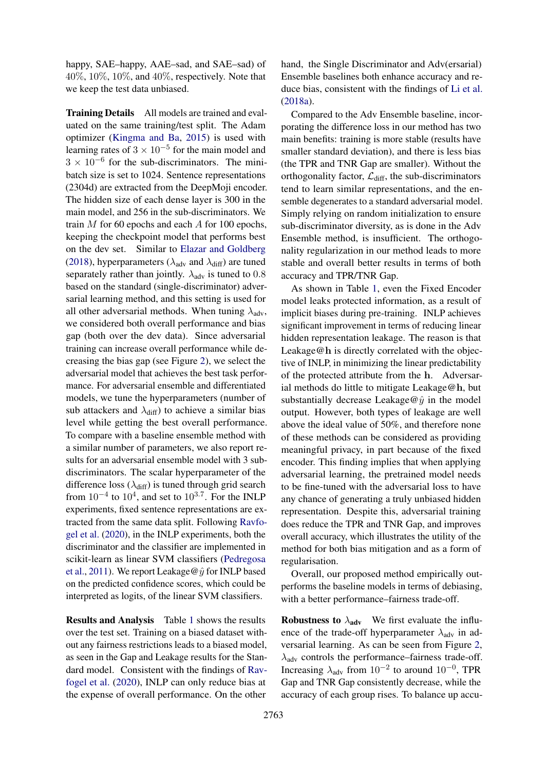happy, SAE–happy, AAE–sad, and SAE–sad) of  $40\%, 10\%, 10\%,$  and  $40\%$ , respectively. Note that we keep the test data unbiased.

Training Details All models are trained and evaluated on the same training/test split. The Adam optimizer [\(Kingma and Ba,](#page-5-12) [2015\)](#page-5-12) is used with learning rates of  $3 \times 10^{-5}$  for the main model and  $3 \times 10^{-6}$  for the sub-discriminators. The minibatch size is set to 1024. Sentence representations (2304d) are extracted from the DeepMoji encoder. The hidden size of each dense layer is 300 in the main model, and 256 in the sub-discriminators. We train  $M$  for 60 epochs and each  $A$  for 100 epochs, keeping the checkpoint model that performs best on the dev set. Similar to [Elazar and Goldberg](#page-5-4) [\(2018\)](#page-5-4), hyperparameters ( $\lambda_{adv}$  and  $\lambda_{diff}$ ) are tuned separately rather than jointly.  $\lambda_{\text{adv}}$  is tuned to 0.8 based on the standard (single-discriminator) adversarial learning method, and this setting is used for all other adversarial methods. When tuning  $\lambda_{\text{adv}}$ , we considered both overall performance and bias gap (both over the dev data). Since adversarial training can increase overall performance while decreasing the bias gap (see Figure [2\)](#page-4-0), we select the adversarial model that achieves the best task performance. For adversarial ensemble and differentiated models, we tune the hyperparameters (number of sub attackers and  $\lambda_{\text{diff}}$ ) to achieve a similar bias level while getting the best overall performance. To compare with a baseline ensemble method with a similar number of parameters, we also report results for an adversarial ensemble model with 3 subdiscriminators. The scalar hyperparameter of the difference loss  $(\lambda_{\text{diff}})$  is tuned through grid search from  $10^{-4}$  to  $10^{4}$ , and set to  $10^{3.7}$ . For the INLP experiments, fixed sentence representations are extracted from the same data split. Following [Ravfo](#page-5-8)[gel et al.](#page-5-8) [\(2020\)](#page-5-8), in the INLP experiments, both the discriminator and the classifier are implemented in scikit-learn as linear SVM classifiers [\(Pedregosa](#page-5-13) [et al.,](#page-5-13) [2011\)](#page-5-13). We report Leakage@ $\hat{y}$  for INLP based on the predicted confidence scores, which could be interpreted as logits, of the linear SVM classifiers.

Results and Analysis Table [1](#page-2-0) shows the results over the test set. Training on a biased dataset without any fairness restrictions leads to a biased model, as seen in the Gap and Leakage results for the Standard model. Consistent with the findings of [Rav](#page-5-8)[fogel et al.](#page-5-8) [\(2020\)](#page-5-8), INLP can only reduce bias at the expense of overall performance. On the other hand, the Single Discriminator and Adv(ersarial) Ensemble baselines both enhance accuracy and reduce bias, consistent with the findings of [Li et al.](#page-5-0) [\(2018a\)](#page-5-0).

Compared to the Adv Ensemble baseline, incorporating the difference loss in our method has two main benefits: training is more stable (results have smaller standard deviation), and there is less bias (the TPR and TNR Gap are smaller). Without the orthogonality factor,  $\mathcal{L}_{diff}$ , the sub-discriminators tend to learn similar representations, and the ensemble degenerates to a standard adversarial model. Simply relying on random initialization to ensure sub-discriminator diversity, as is done in the Adv Ensemble method, is insufficient. The orthogonality regularization in our method leads to more stable and overall better results in terms of both accuracy and TPR/TNR Gap.

As shown in Table [1,](#page-2-0) even the Fixed Encoder model leaks protected information, as a result of implicit biases during pre-training. INLP achieves significant improvement in terms of reducing linear hidden representation leakage. The reason is that Leakage@h is directly correlated with the objective of INLP, in minimizing the linear predictability of the protected attribute from the h. Adversarial methods do little to mitigate Leakage@h, but substantially decrease Leakage@ $\hat{y}$  in the model output. However, both types of leakage are well above the ideal value of 50%, and therefore none of these methods can be considered as providing meaningful privacy, in part because of the fixed encoder. This finding implies that when applying adversarial learning, the pretrained model needs to be fine-tuned with the adversarial loss to have any chance of generating a truly unbiased hidden representation. Despite this, adversarial training does reduce the TPR and TNR Gap, and improves overall accuracy, which illustrates the utility of the method for both bias mitigation and as a form of regularisation.

Overall, our proposed method empirically outperforms the baseline models in terms of debiasing, with a better performance–fairness trade-off.

**Robustness to**  $\lambda_{adv}$  We first evaluate the influence of the trade-off hyperparameter  $\lambda_{\text{adv}}$  in adversarial learning. As can be seen from Figure [2,](#page-4-0)  $\lambda_{\text{adv}}$  controls the performance–fairness trade-off. Increasing  $\lambda_{\text{adv}}$  from  $10^{-2}$  to around  $10^{-0}$ , TPR Gap and TNR Gap consistently decrease, while the accuracy of each group rises. To balance up accu-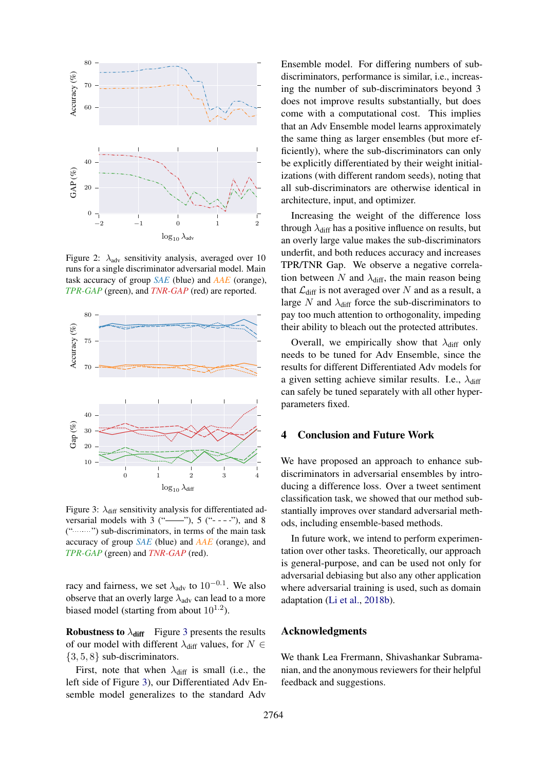<span id="page-4-0"></span>

Figure 2:  $\lambda_{\text{adv}}$  sensitivity analysis, averaged over 10 runs for a single discriminator adversarial model. Main task accuracy of group *SAE* (blue) and *AAE* (orange), *TPR-GAP* (green), and *TNR-GAP* (red) are reported.

<span id="page-4-1"></span>

Figure 3:  $\lambda_{\text{diff}}$  sensitivity analysis for differentiated adversarial models with 3 ("——"), 5 ("----"), and 8  $("$ "") sub-discriminators, in terms of the main task accuracy of group *SAE* (blue) and *AAE* (orange), and *TPR-GAP* (green) and *TNR-GAP* (red).

racy and fairness, we set  $\lambda_{adv}$  to  $10^{-0.1}$ . We also observe that an overly large  $\lambda_{\text{adv}}$  can lead to a more biased model (starting from about  $10^{1.2}$ ).

**Robustness to**  $\lambda_{\text{diff}}$  Figure [3](#page-4-1) presents the results of our model with different  $\lambda_{diff}$  values, for  $N \in$  $\{3, 5, 8\}$  sub-discriminators.

First, note that when  $\lambda_{\text{diff}}$  is small (i.e., the left side of Figure [3\)](#page-4-1), our Differentiated Adv Ensemble model generalizes to the standard Adv

Ensemble model. For differing numbers of subdiscriminators, performance is similar, i.e., increasing the number of sub-discriminators beyond 3 does not improve results substantially, but does come with a computational cost. This implies that an Adv Ensemble model learns approximately the same thing as larger ensembles (but more efficiently), where the sub-discriminators can only be explicitly differentiated by their weight initializations (with different random seeds), noting that all sub-discriminators are otherwise identical in architecture, input, and optimizer.

Increasing the weight of the difference loss through  $\lambda_{\text{diff}}$  has a positive influence on results, but an overly large value makes the sub-discriminators underfit, and both reduces accuracy and increases TPR/TNR Gap. We observe a negative correlation between N and  $\lambda_{\text{diff}}$ , the main reason being that  $\mathcal{L}_{diff}$  is not averaged over N and as a result, a large N and  $\lambda_{\text{diff}}$  force the sub-discriminators to pay too much attention to orthogonality, impeding their ability to bleach out the protected attributes.

Overall, we empirically show that  $\lambda_{\text{diff}}$  only needs to be tuned for Adv Ensemble, since the results for different Differentiated Adv models for a given setting achieve similar results. I.e.,  $\lambda_{\text{diff}}$ can safely be tuned separately with all other hyperparameters fixed.

# 4 Conclusion and Future Work

We have proposed an approach to enhance subdiscriminators in adversarial ensembles by introducing a difference loss. Over a tweet sentiment classification task, we showed that our method substantially improves over standard adversarial methods, including ensemble-based methods.

In future work, we intend to perform experimentation over other tasks. Theoretically, our approach is general-purpose, and can be used not only for adversarial debiasing but also any other application where adversarial training is used, such as domain adaptation [\(Li et al.,](#page-5-14) [2018b\)](#page-5-14).

# Acknowledgments

We thank Lea Frermann, Shivashankar Subramanian, and the anonymous reviewers for their helpful feedback and suggestions.